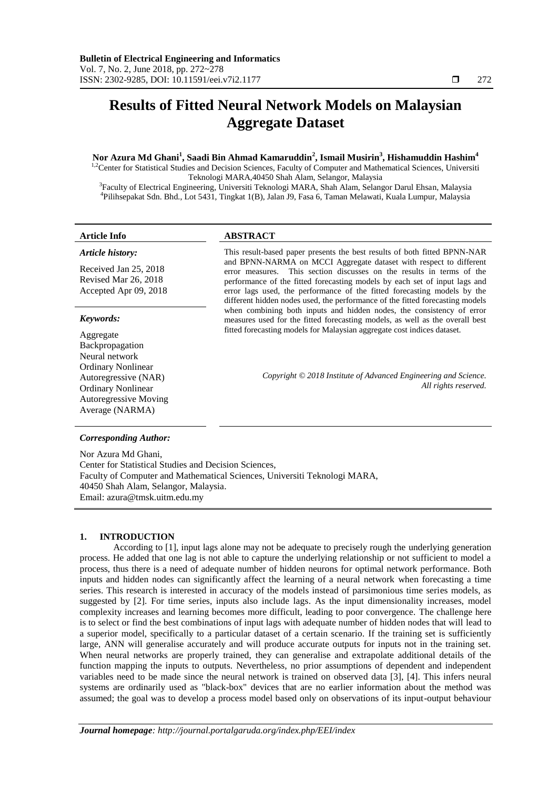# **Results of Fitted Neural Network Models on Malaysian Aggregate Dataset**

### **Nor Azura Md Ghani<sup>1</sup> , Saadi Bin Ahmad Kamaruddin<sup>2</sup> , Ismail Musirin<sup>3</sup> , Hishamuddin Hashim<sup>4</sup>**

<sup>1,2</sup>Center for Statistical Studies and Decision Sciences, Faculty of Computer and Mathematical Sciences, Universiti Teknologi MARA,40450 Shah Alam, Selangor, Malaysia

3 Faculty of Electrical Engineering, Universiti Teknologi MARA, Shah Alam, Selangor Darul Ehsan, Malaysia 4 Pilihsepakat Sdn. Bhd., Lot 5431, Tingkat 1(B), Jalan J9, Fasa 6, Taman Melawati, Kuala Lumpur, Malaysia

## *Article history:*

Received Jan 25, 2018 Revised Mar 26, 2018 Accepted Apr 09, 2018

#### *Keywords:*

Aggregate Backpropagation Neural network Ordinary Nonlinear Autoregressive (NAR) Ordinary Nonlinear Autoregressive Moving Average (NARMA)

#### **Article Info ABSTRACT**

This result-based paper presents the best results of both fitted BPNN-NAR and BPNN-NARMA on MCCI Aggregate dataset with respect to different error measures. This section discusses on the results in terms of the performance of the fitted forecasting models by each set of input lags and error lags used, the performance of the fitted forecasting models by the different hidden nodes used, the performance of the fitted forecasting models when combining both inputs and hidden nodes, the consistency of error measures used for the fitted forecasting models, as well as the overall best fitted forecasting models for Malaysian aggregate cost indices dataset.

> *Copyright © 2018 Institute of Advanced Engineering and Science. All rights reserved.*

#### *Corresponding Author:*

Nor Azura Md Ghani, Center for Statistical Studies and Decision Sciences, Faculty of Computer and Mathematical Sciences, Universiti Teknologi MARA, 40450 Shah Alam, Selangor, Malaysia. Email: azura@tmsk.uitm.edu.my

#### **1. INTRODUCTION**

According to [1], input lags alone may not be adequate to precisely rough the underlying generation process. He added that one lag is not able to capture the underlying relationship or not sufficient to model a process, thus there is a need of adequate number of hidden neurons for optimal network performance. Both inputs and hidden nodes can significantly affect the learning of a neural network when forecasting a time series. This research is interested in accuracy of the models instead of parsimonious time series models, as suggested by [2]. For time series, inputs also include lags. As the input dimensionality increases, model complexity increases and learning becomes more difficult, leading to poor convergence. The challenge here is to select or find the best combinations of input lags with adequate number of hidden nodes that will lead to a superior model, specifically to a particular dataset of a certain scenario. If the training set is sufficiently large, ANN will generalise accurately and will produce accurate outputs for inputs not in the training set. When neural networks are properly trained, they can generalise and extrapolate additional details of the function mapping the inputs to outputs. Nevertheless, no prior assumptions of dependent and independent variables need to be made since the neural network is trained on observed data [3], [4]. This infers neural systems are ordinarily used as "black-box" devices that are no earlier information about the method was assumed; the goal was to develop a process model based only on observations of its input-output behaviour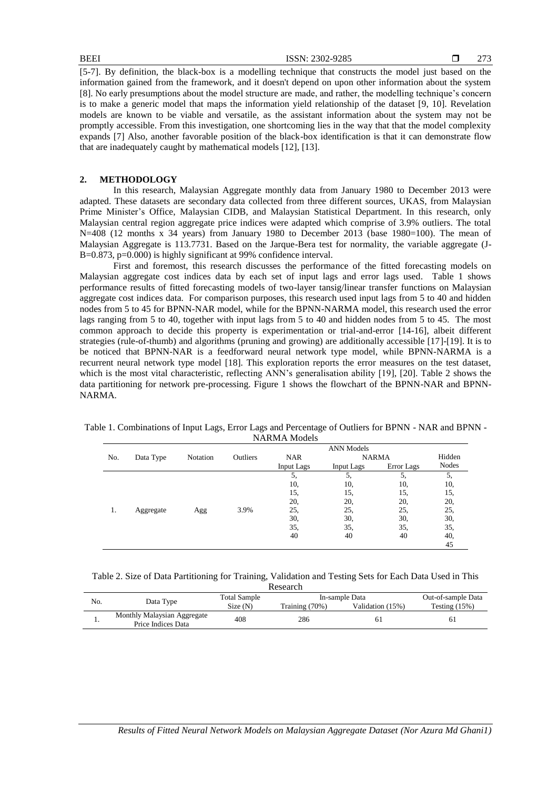[5-7]. By definition, the black-box is a modelling technique that constructs the model just based on the information gained from the framework, and it doesn't depend on upon other information about the system [8]. No early presumptions about the model structure are made, and rather, the modelling technique's concern is to make a generic model that maps the information yield relationship of the dataset [9, 10]. Revelation models are known to be viable and versatile, as the assistant information about the system may not be promptly accessible. From this investigation, one shortcoming lies in the way that that the model complexity expands [7] Also, another favorable position of the black-box identification is that it can demonstrate flow that are inadequately caught by mathematical models [12], [13].

#### **2. METHODOLOGY**

In this research, Malaysian Aggregate monthly data from January 1980 to December 2013 were adapted. These datasets are secondary data collected from three different sources, UKAS, from Malaysian Prime Minister's Office, Malaysian CIDB, and Malaysian Statistical Department. In this research, only Malaysian central region aggregate price indices were adapted which comprise of 3.9% outliers. The total N=408 (12 months x 34 years) from January 1980 to December 2013 (base 1980=100). The mean of Malaysian Aggregate is 113.7731. Based on the Jarque-Bera test for normality, the variable aggregate (J-B=0.873, p=0.000) is highly significant at 99% confidence interval.

First and foremost, this research discusses the performance of the fitted forecasting models on Malaysian aggregate cost indices data by each set of input lags and error lags used. Table 1 shows performance results of fitted forecasting models of two-layer tansig/linear transfer functions on Malaysian aggregate cost indices data. For comparison purposes, this research used input lags from 5 to 40 and hidden nodes from 5 to 45 for BPNN-NAR model, while for the BPNN-NARMA model, this research used the error lags ranging from 5 to 40, together with input lags from 5 to 40 and hidden nodes from 5 to 45. The most common approach to decide this property is experimentation or trial-and-error [14-16], albeit different strategies (rule-of-thumb) and algorithms (pruning and growing) are additionally accessible [17]-[19]. It is to be noticed that BPNN-NAR is a feedforward neural network type model, while BPNN-NARMA is a recurrent neural network type model [18]. This exploration reports the error measures on the test dataset, which is the most vital characteristic, reflecting ANN's generalisation ability [19], [20]. Table 2 shows the data partitioning for network pre-processing. Figure 1 shows the flowchart of the BPNN-NAR and BPNN-NARMA.

Table 1. Combinations of Input Lags, Error Lags and Percentage of Outliers for BPNN - NAR and BPNN - NARMA Models

|     | <b>ANN</b> Models |          |          |            |              |            |        |
|-----|-------------------|----------|----------|------------|--------------|------------|--------|
| No. | Data Type         | Notation | Outliers | <b>NAR</b> | <b>NARMA</b> |            | Hidden |
|     |                   |          |          | Input Lags | Input Lags   | Error Lags | Nodes  |
|     |                   |          |          | 5.         | 5,           | 5.         | 5.     |
|     |                   |          |          | 10.        | 10,          | 10,        | 10,    |
|     |                   |          |          | 15,        | 15,          | 15,        | 15,    |
|     |                   |          |          | 20,        | 20,          | 20,        | 20,    |
| 1.  | Aggregate         | Agg      | 3.9%     | 25,        | 25,          | 25,        | 25,    |
|     |                   |          |          | 30,        | 30,          | 30,        | 30,    |
|     |                   |          |          | 35,        | 35,          | 35,        | 35,    |
|     |                   |          |          | 40         | 40           | 40         | 40,    |
|     |                   |          |          |            |              |            | 45     |

| Table 2. Size of Data Partitioning for Training, Validation and Testing Sets for Each Data Used in This |  |  |  |  |  |  |  |
|---------------------------------------------------------------------------------------------------------|--|--|--|--|--|--|--|
| Research                                                                                                |  |  |  |  |  |  |  |

| No. | Data Type                                         | Total Sample<br>Size(N) | In-sample Data<br>Training $(70%)$<br>Validation (15%) |  | Out-of-sample Data<br>Testing $(15%)$ |
|-----|---------------------------------------------------|-------------------------|--------------------------------------------------------|--|---------------------------------------|
|     | Monthly Malaysian Aggregate<br>Price Indices Data | 408                     | 286                                                    |  | 61                                    |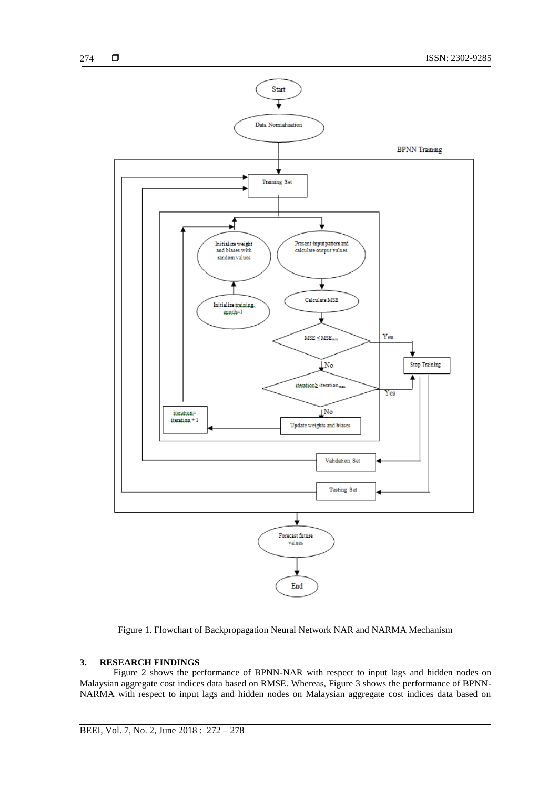

Figure 1. Flowchart of Backpropagation Neural Network NAR and NARMA Mechanism

### **3. RESEARCH FINDINGS**

Figure 2 shows the performance of BPNN-NAR with respect to input lags and hidden nodes on Malaysian aggregate cost indices data based on RMSE. Whereas, Figure 3 shows the performance of BPNN-NARMA with respect to input lags and hidden nodes on Malaysian aggregate cost indices data based on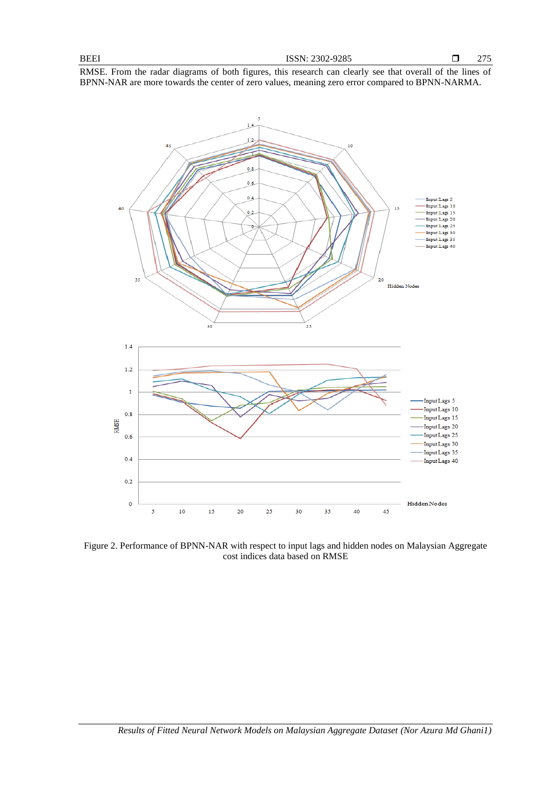RMSE. From the radar diagrams of both figures, this research can clearly see that overall of the lines of BPNN-NAR are more towards the center of zero values, meaning zero error compared to BPNN-NARMA.



Figure 2. Performance of BPNN-NAR with respect to input lags and hidden nodes on Malaysian Aggregate cost indices data based on RMSE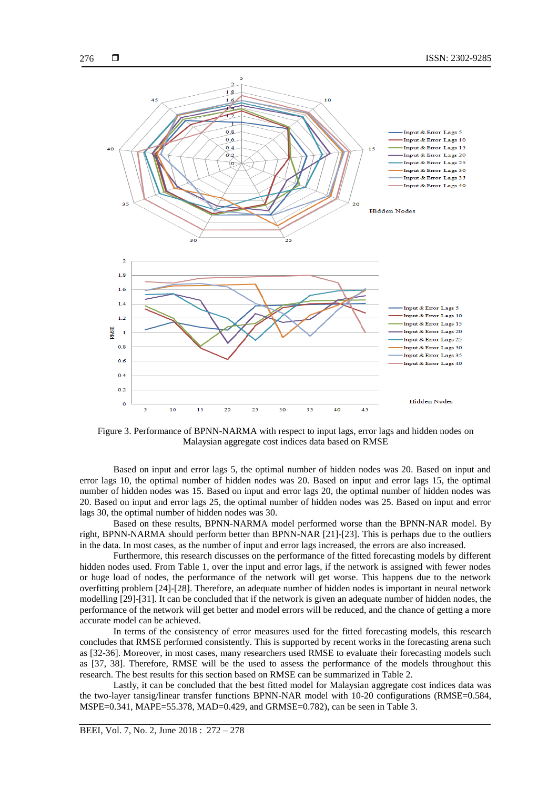

Figure 3. Performance of BPNN-NARMA with respect to input lags, error lags and hidden nodes on Malaysian aggregate cost indices data based on RMSE

Based on input and error lags 5, the optimal number of hidden nodes was 20. Based on input and error lags 10, the optimal number of hidden nodes was 20. Based on input and error lags 15, the optimal number of hidden nodes was 15. Based on input and error lags 20, the optimal number of hidden nodes was 20. Based on input and error lags 25, the optimal number of hidden nodes was 25. Based on input and error lags 30, the optimal number of hidden nodes was 30.

Based on these results, BPNN-NARMA model performed worse than the BPNN-NAR model. By right, BPNN-NARMA should perform better than BPNN-NAR [21]-[23]. This is perhaps due to the outliers in the data. In most cases, as the number of input and error lags increased, the errors are also increased.

Furthermore, this research discusses on the performance of the fitted forecasting models by different hidden nodes used. From Table 1, over the input and error lags, if the network is assigned with fewer nodes or huge load of nodes, the performance of the network will get worse. This happens due to the network overfitting problem [24]-[28]. Therefore, an adequate number of hidden nodes is important in neural network modelling [29]-[31]. It can be concluded that if the network is given an adequate number of hidden nodes, the performance of the network will get better and model errors will be reduced, and the chance of getting a more accurate model can be achieved.

In terms of the consistency of error measures used for the fitted forecasting models, this research concludes that RMSE performed consistently. This is supported by recent works in the forecasting arena such as [32-36]. Moreover, in most cases, many researchers used RMSE to evaluate their forecasting models such as [37, 38]. Therefore, RMSE will be the used to assess the performance of the models throughout this research. The best results for this section based on RMSE can be summarized in Table 2.

Lastly, it can be concluded that the best fitted model for Malaysian aggregate cost indices data was the two-layer tansig/linear transfer functions BPNN-NAR model with 10-20 configurations (RMSE=0.584, MSPE=0.341, MAPE=55.378, MAD=0.429, and GRMSE=0.782), can be seen in Table 3.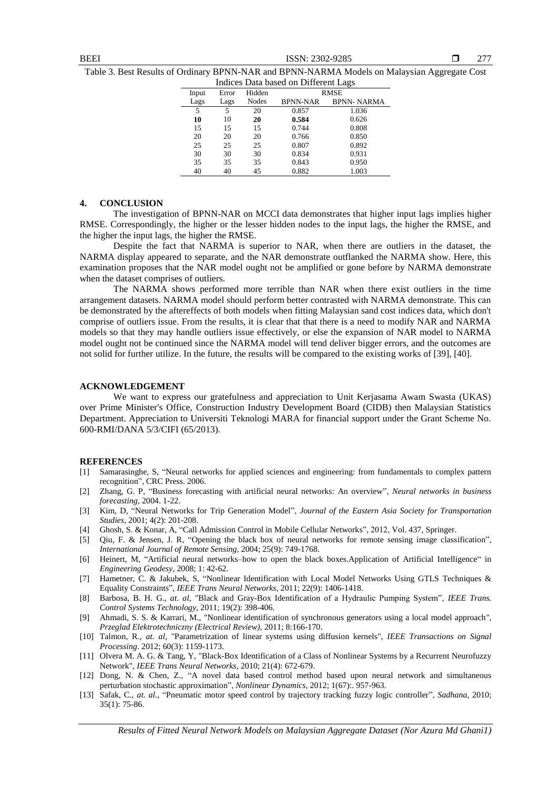**BEEI** ISSN: 2302-9285

277

Table 3. Best Results of Ordinary BPNN-NAR and BPNN-NARMA Models on Malaysian Aggregate Cost

| Indices Data based on Different Lags |       |        |                 |                   |  |  |
|--------------------------------------|-------|--------|-----------------|-------------------|--|--|
| Input                                | Error | Hidden | <b>RMSE</b>     |                   |  |  |
| Lags                                 | Lags  | Nodes  | <b>BPNN-NAR</b> | <b>BPNN-NARMA</b> |  |  |
| 5                                    | 5     | 20     | 0.857           | 1.036             |  |  |
| 10                                   | 10    | 20     | 0.584           | 0.626             |  |  |
| 15                                   | 15    | 15     | 0.744           | 0.808             |  |  |
| 20                                   | 20    | 20     | 0.766           | 0.850             |  |  |
| 25                                   | 25    | 25     | 0.807           | 0.892             |  |  |
| 30                                   | 30    | 30     | 0.834           | 0.931             |  |  |
| 35                                   | 35    | 35     | 0.843           | 0.950             |  |  |
| 40                                   | 40    | 45     | 0.882           | 1.003             |  |  |

#### **4. CONCLUSION**

The investigation of BPNN-NAR on MCCI data demonstrates that higher input lags implies higher RMSE. Correspondingly, the higher or the lesser hidden nodes to the input lags, the higher the RMSE, and the higher the input lags, the higher the RMSE.

Despite the fact that NARMA is superior to NAR, when there are outliers in the dataset, the NARMA display appeared to separate, and the NAR demonstrate outflanked the NARMA show. Here, this examination proposes that the NAR model ought not be amplified or gone before by NARMA demonstrate when the dataset comprises of outliers.

The NARMA shows performed more terrible than NAR when there exist outliers in the time arrangement datasets. NARMA model should perform better contrasted with NARMA demonstrate. This can be demonstrated by the aftereffects of both models when fitting Malaysian sand cost indices data, which don't comprise of outliers issue. From the results, it is clear that that there is a need to modify NAR and NARMA models so that they may handle outliers issue effectively, or else the expansion of NAR model to NARMA model ought not be continued since the NARMA model will tend deliver bigger errors, and the outcomes are not solid for further utilize. In the future, the results will be compared to the existing works of [39], [40].

#### **ACKNOWLEDGEMENT**

We want to express our gratefulness and appreciation to Unit Kerjasama Awam Swasta (UKAS) over Prime Minister's Office, Construction Industry Development Board (CIDB) then Malaysian Statistics Department. Appreciation to Universiti Teknologi MARA for financial support under the Grant Scheme No. 600-RMI/DANA 5/3/CIFI (65/2013).

#### **REFERENCES**

- [1] Samarasinghe, S, "Neural networks for applied sciences and engineering: from fundamentals to complex pattern recognition", CRC Press. 2006.
- [2] Zhang, G. P, "Business forecasting with artificial neural networks: An overview", *Neural networks in business forecasting*, 2004. 1-22.
- [3] Kim, D, "Neural Networks for Trip Generation Model", *Journal of the Eastern Asia Society for Transportation Studies*, 2001; 4(2): 201-208.
- [4] Ghosh, S. & Konar, A, "Call Admission Control in Mobile Cellular Networks", 2012, Vol. 437, Springer.
- [5] Qiu, F. & Jensen, J. R, "Opening the black box of neural networks for remote sensing image classification", *International Journal of Remote Sensing*, 2004; 25(9): 749-1768.
- [6] Heinert, M, "Artificial neural networks–how to open the black boxes.Application of Artificial Intelligence" in *Engineering Geodesy*, 2008; 1: 42-62.
- [7] Hametner, C. & Jakubek, S, "Nonlinear Identification with Local Model Networks Using GTLS Techniques & Equality Constraints", *IEEE Trans Neural Networks*, 2011; 22(9): 1406-1418.
- [8] Barbosa, B. H. G., *at. al*, "Black and Gray-Box Identification of a Hydraulic Pumping System", *IEEE Trans. Control Systems Technology,* 2011; 19(2): 398-406.
- [9] Ahmadi, S. S. & Karrari, M., "Nonlinear identification of synchronous generators using a local model approach", *Przeglad Elektrotechniczny (Electrical Review)*, 2011; 8:166-170.
- [10] Talmon, R., *at. al*, "Parametrization of linear systems using diffusion kernels", *IEEE Transactions on Signal Processing*. 2012; 60(3): 1159-1173.
- [11] Olvera M. A. G. & Tang, Y, "Black-Box Identification of a Class of Nonlinear Systems by a Recurrent Neurofuzzy Network", *IEEE Trans Neural Networks*, 2010; 21(4): 672-679.
- [12] Dong, N. & Chen, Z., "A novel data based control method based upon neural network and simultaneous perturbation stochastic approximation", *Nonlinear Dynamics*, 2012; 1(67):. 957-963.
- [13] Safak, C., *at. al.*, "Pneumatic motor speed control by trajectory tracking fuzzy logic controller", *Sadhana*, 2010; 35(1): 75-86.